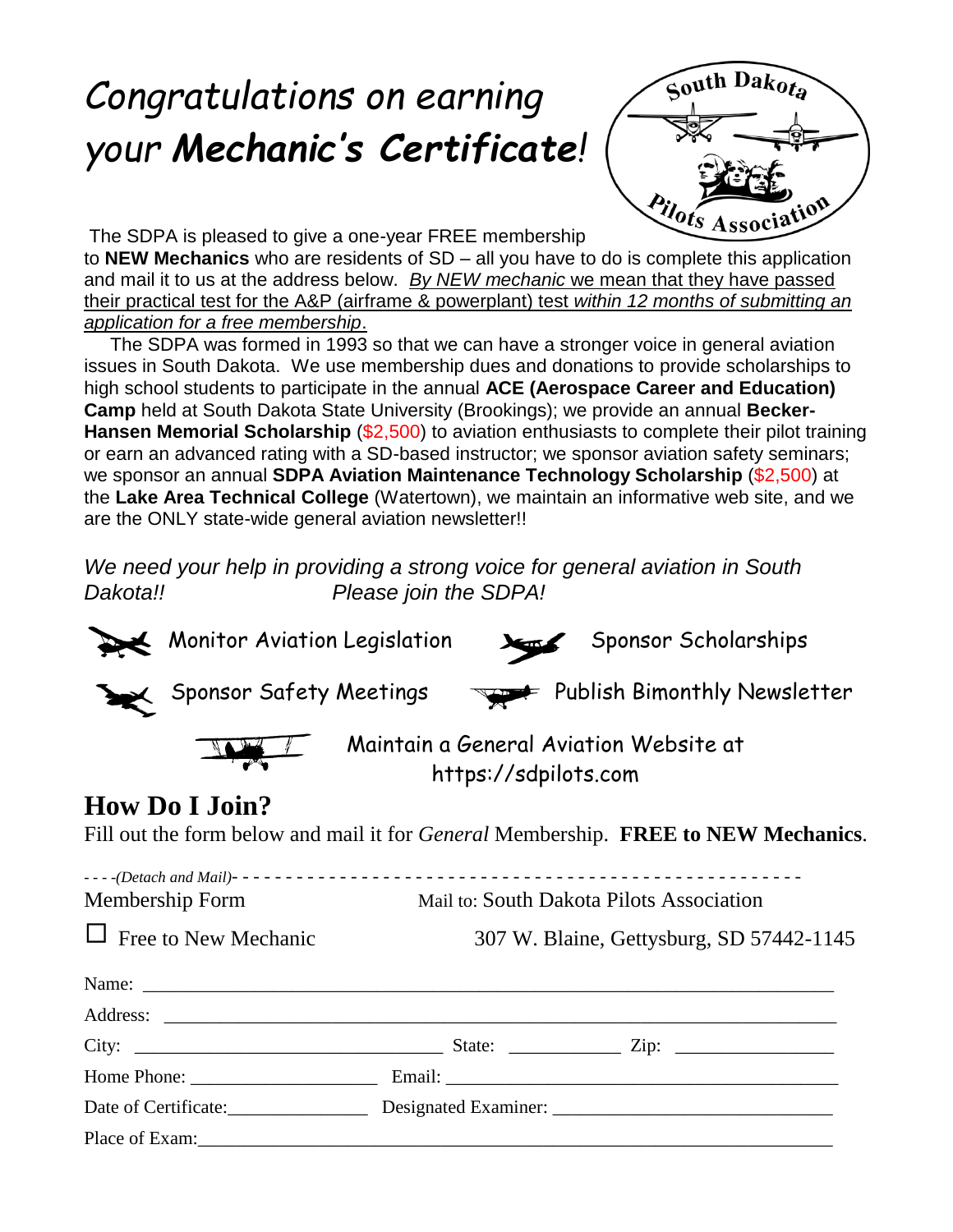# *Congratulations on earning your Mechanic's Certificate!*



The SDPA is pleased to give a one-year FREE membership

to **NEW Mechanics** who are residents of SD – all you have to do is complete this application and mail it to us at the address below. *By NEW mechanic* we mean that they have passed their practical test for the A&P (airframe & powerplant) test *within 12 months of submitting an application for a free membership*.

 The SDPA was formed in 1993 so that we can have a stronger voice in general aviation issues in South Dakota. We use membership dues and donations to provide scholarships to high school students to participate in the annual **ACE (Aerospace Career and Education) Camp** held at South Dakota State University (Brookings); we provide an annual **Becker-Hansen Memorial Scholarship** (\$2,500) to aviation enthusiasts to complete their pilot training or earn an advanced rating with a SD-based instructor; we sponsor aviation safety seminars; we sponsor an annual **SDPA Aviation Maintenance Technology Scholarship** (\$2,500) at the **Lake Area Technical College** (Watertown), we maintain an informative web site, and we are the ONLY state-wide general aviation newsletter!!

*We need your help in providing a strong voice for general aviation in South Dakota!! Please join the SDPA!*

|                                                                                           | <b>Monitor Aviation Legislation</b>                                                              |                                                                |  | Sponsor Scholarships |  |  |
|-------------------------------------------------------------------------------------------|--------------------------------------------------------------------------------------------------|----------------------------------------------------------------|--|----------------------|--|--|
|                                                                                           | $\blacktriangleright$ Sponsor Safety Meetings $\blacktriangleright$ Publish Bimonthly Newsletter |                                                                |  |                      |  |  |
|                                                                                           |                                                                                                  | Maintain a General Aviation Website at<br>https://sdpilots.com |  |                      |  |  |
|                                                                                           | <b>How Do I Join?</b>                                                                            |                                                                |  |                      |  |  |
| Fill out the form below and mail it for <i>General</i> Membership. FREE to NEW Mechanics. |                                                                                                  |                                                                |  |                      |  |  |
|                                                                                           |                                                                                                  |                                                                |  |                      |  |  |
|                                                                                           |                                                                                                  |                                                                |  |                      |  |  |
| Membership Form                                                                           |                                                                                                  | Mail to: South Dakota Pilots Association                       |  |                      |  |  |
| $\Box$ Free to New Mechanic                                                               |                                                                                                  | 307 W. Blaine, Gettysburg, SD 57442-1145                       |  |                      |  |  |
|                                                                                           | Name:                                                                                            |                                                                |  |                      |  |  |
|                                                                                           |                                                                                                  |                                                                |  |                      |  |  |
|                                                                                           |                                                                                                  |                                                                |  |                      |  |  |
|                                                                                           |                                                                                                  |                                                                |  |                      |  |  |
|                                                                                           |                                                                                                  |                                                                |  |                      |  |  |
|                                                                                           | Place of Exam: example and the state of Example 2014.                                            |                                                                |  |                      |  |  |